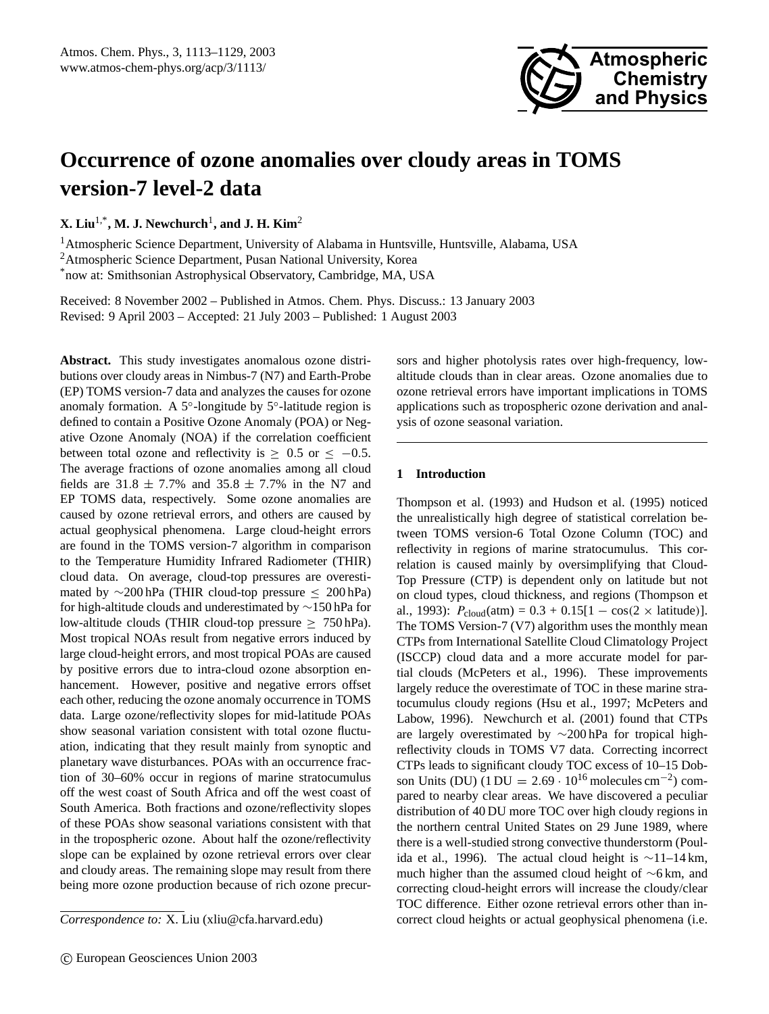

# **Occurrence of ozone anomalies over cloudy areas in TOMS version-7 level-2 data**

**X. Liu**1,\***, M. J. Newchurch**<sup>1</sup> **, and J. H. Kim**<sup>2</sup>

<sup>1</sup> Atmospheric Science Department, University of Alabama in Huntsville, Huntsville, Alabama, USA <sup>2</sup>Atmospheric Science Department, Pusan National University, Korea \*now at: Smithsonian Astrophysical Observatory, Cambridge, MA, USA

Received: 8 November 2002 – Published in Atmos. Chem. Phys. Discuss.: 13 January 2003 Revised: 9 April 2003 – Accepted: 21 July 2003 – Published: 1 August 2003

**Abstract.** This study investigates anomalous ozone distributions over cloudy areas in Nimbus-7 (N7) and Earth-Probe (EP) TOMS version-7 data and analyzes the causes for ozone anomaly formation. A 5◦ -longitude by 5◦ -latitude region is defined to contain a Positive Ozone Anomaly (POA) or Negative Ozone Anomaly (NOA) if the correlation coefficient between total ozone and reflectivity is  $\geq 0.5$  or  $\leq -0.5$ . The average fractions of ozone anomalies among all cloud fields are  $31.8 \pm 7.7$ % and  $35.8 \pm 7.7$ % in the N7 and EP TOMS data, respectively. Some ozone anomalies are caused by ozone retrieval errors, and others are caused by actual geophysical phenomena. Large cloud-height errors are found in the TOMS version-7 algorithm in comparison to the Temperature Humidity Infrared Radiometer (THIR) cloud data. On average, cloud-top pressures are overestimated by  $\sim$ 200 hPa (THIR cloud-top pressure ≤ 200 hPa) for high-altitude clouds and underestimated by ∼150 hPa for low-altitude clouds (THIR cloud-top pressure  $\geq$  750 hPa). Most tropical NOAs result from negative errors induced by large cloud-height errors, and most tropical POAs are caused by positive errors due to intra-cloud ozone absorption enhancement. However, positive and negative errors offset each other, reducing the ozone anomaly occurrence in TOMS data. Large ozone/reflectivity slopes for mid-latitude POAs show seasonal variation consistent with total ozone fluctuation, indicating that they result mainly from synoptic and planetary wave disturbances. POAs with an occurrence fraction of 30–60% occur in regions of marine stratocumulus off the west coast of South Africa and off the west coast of South America. Both fractions and ozone/reflectivity slopes of these POAs show seasonal variations consistent with that in the tropospheric ozone. About half the ozone/reflectivity slope can be explained by ozone retrieval errors over clear and cloudy areas. The remaining slope may result from there being more ozone production because of rich ozone precursors and higher photolysis rates over high-frequency, lowaltitude clouds than in clear areas. Ozone anomalies due to ozone retrieval errors have important implications in TOMS applications such as tropospheric ozone derivation and analysis of ozone seasonal variation.

# **1 Introduction**

Thompson et al. (1993) and Hudson et al. (1995) noticed the unrealistically high degree of statistical correlation between TOMS version-6 Total Ozone Column (TOC) and reflectivity in regions of marine stratocumulus. This correlation is caused mainly by oversimplifying that Cloud-Top Pressure (CTP) is dependent only on latitude but not on cloud types, cloud thickness, and regions (Thompson et al., 1993):  $P_{cloud}(atm) = 0.3 + 0.15[1 - cos(2 \times latitude)].$ The TOMS Version-7 (V7) algorithm uses the monthly mean CTPs from International Satellite Cloud Climatology Project (ISCCP) cloud data and a more accurate model for partial clouds (McPeters et al., 1996). These improvements largely reduce the overestimate of TOC in these marine stratocumulus cloudy regions (Hsu et al., 1997; McPeters and Labow, 1996). Newchurch et al. (2001) found that CTPs are largely overestimated by ∼200 hPa for tropical highreflectivity clouds in TOMS V7 data. Correcting incorrect CTPs leads to significant cloudy TOC excess of 10–15 Dobson Units (DU) (1 DU =  $2.69 \cdot 10^{16}$  molecules cm<sup>-2</sup>) compared to nearby clear areas. We have discovered a peculiar distribution of 40 DU more TOC over high cloudy regions in the northern central United States on 29 June 1989, where there is a well-studied strong convective thunderstorm (Poulida et al., 1996). The actual cloud height is ∼11–14 km, much higher than the assumed cloud height of ∼6 km, and correcting cloud-height errors will increase the cloudy/clear TOC difference. Either ozone retrieval errors other than incorrect cloud heights or actual geophysical phenomena (i.e.

*Correspondence to:* X. Liu (xliu@cfa.harvard.edu)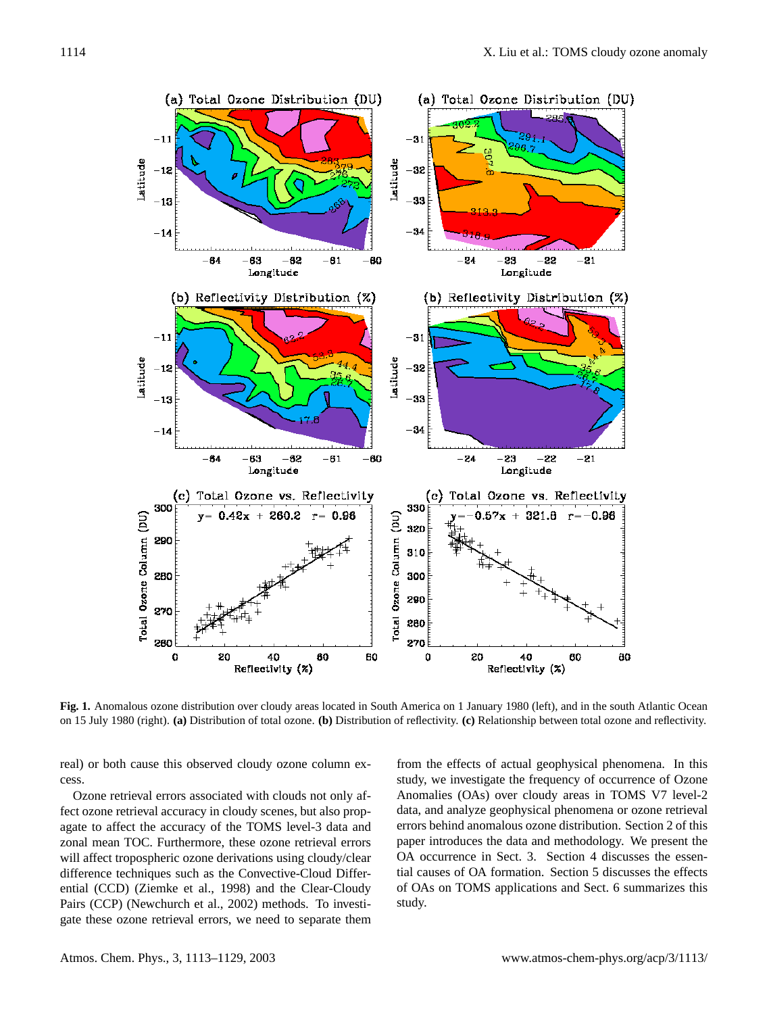

**Fig. 1.** Anomalous ozone distribution over cloudy areas located in South America on 1 January 1980 (left), and in the south Atlantic Ocean on 15 July 1980 (right). **(a)** Distribution of total ozone. **(b)** Distribution of reflectivity. **(c)** Relationship between total ozone and reflectivity.

real) or both cause this observed cloudy ozone column excess.

Ozone retrieval errors associated with clouds not only affect ozone retrieval accuracy in cloudy scenes, but also propagate to affect the accuracy of the TOMS level-3 data and zonal mean TOC. Furthermore, these ozone retrieval errors will affect tropospheric ozone derivations using cloudy/clear difference techniques such as the Convective-Cloud Differential (CCD) (Ziemke et al., 1998) and the Clear-Cloudy Pairs (CCP) (Newchurch et al., 2002) methods. To investigate these ozone retrieval errors, we need to separate them from the effects of actual geophysical phenomena. In this study, we investigate the frequency of occurrence of Ozone Anomalies (OAs) over cloudy areas in TOMS V7 level-2 data, and analyze geophysical phenomena or ozone retrieval errors behind anomalous ozone distribution. Section 2 of this paper introduces the data and methodology. We present the OA occurrence in Sect. 3. Section 4 discusses the essential causes of OA formation. Section 5 discusses the effects of OAs on TOMS applications and Sect. 6 summarizes this study.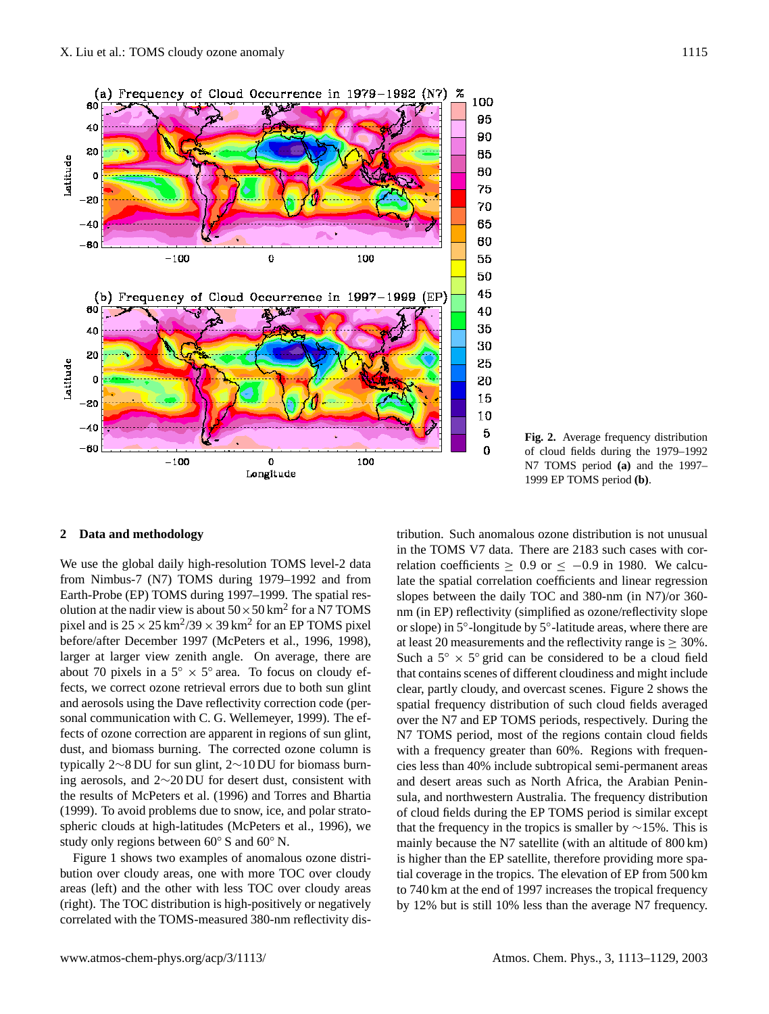

**Fig. 2.** Average frequency distribution of cloud fields during the 1979–1992 N7 TOMS period **(a)** and the 1997– 1999 EP TOMS period **(b)**.

#### **2 Data and methodology**

We use the global daily high-resolution TOMS level-2 data from Nimbus-7 (N7) TOMS during 1979–1992 and from Earth-Probe (EP) TOMS during 1997–1999. The spatial resolution at the nadir view is about  $50 \times 50$  km<sup>2</sup> for a N7 TOMS pixel and is  $25 \times 25 \text{ km}^2 / 39 \times 39 \text{ km}^2$  for an EP TOMS pixel before/after December 1997 (McPeters et al., 1996, 1998), larger at larger view zenith angle. On average, there are about 70 pixels in a  $5^\circ \times 5^\circ$  area. To focus on cloudy effects, we correct ozone retrieval errors due to both sun glint and aerosols using the Dave reflectivity correction code (personal communication with C. G. Wellemeyer, 1999). The effects of ozone correction are apparent in regions of sun glint, dust, and biomass burning. The corrected ozone column is typically 2∼8 DU for sun glint, 2∼10 DU for biomass burning aerosols, and 2∼20 DU for desert dust, consistent with the results of McPeters et al. (1996) and Torres and Bhartia (1999). To avoid problems due to snow, ice, and polar stratospheric clouds at high-latitudes (McPeters et al., 1996), we study only regions between 60◦ S and 60◦ N.

Figure 1 shows two examples of anomalous ozone distribution over cloudy areas, one with more TOC over cloudy areas (left) and the other with less TOC over cloudy areas (right). The TOC distribution is high-positively or negatively correlated with the TOMS-measured 380-nm reflectivity distribution. Such anomalous ozone distribution is not unusual in the TOMS V7 data. There are 2183 such cases with correlation coefficients  $\geq 0.9$  or  $\leq -0.9$  in 1980. We calculate the spatial correlation coefficients and linear regression slopes between the daily TOC and 380-nm (in N7)/or 360 nm (in EP) reflectivity (simplified as ozone/reflectivity slope or slope) in 5◦ -longitude by 5◦ -latitude areas, where there are at least 20 measurements and the reflectivity range is  $\geq 30\%$ . Such a  $5^\circ \times 5^\circ$  grid can be considered to be a cloud field that contains scenes of different cloudiness and might include clear, partly cloudy, and overcast scenes. Figure 2 shows the spatial frequency distribution of such cloud fields averaged over the N7 and EP TOMS periods, respectively. During the N7 TOMS period, most of the regions contain cloud fields with a frequency greater than 60%. Regions with frequencies less than 40% include subtropical semi-permanent areas and desert areas such as North Africa, the Arabian Peninsula, and northwestern Australia. The frequency distribution of cloud fields during the EP TOMS period is similar except that the frequency in the tropics is smaller by  $\sim$ 15%. This is mainly because the N7 satellite (with an altitude of 800 km) is higher than the EP satellite, therefore providing more spatial coverage in the tropics. The elevation of EP from 500 km to 740 km at the end of 1997 increases the tropical frequency by 12% but is still 10% less than the average N7 frequency.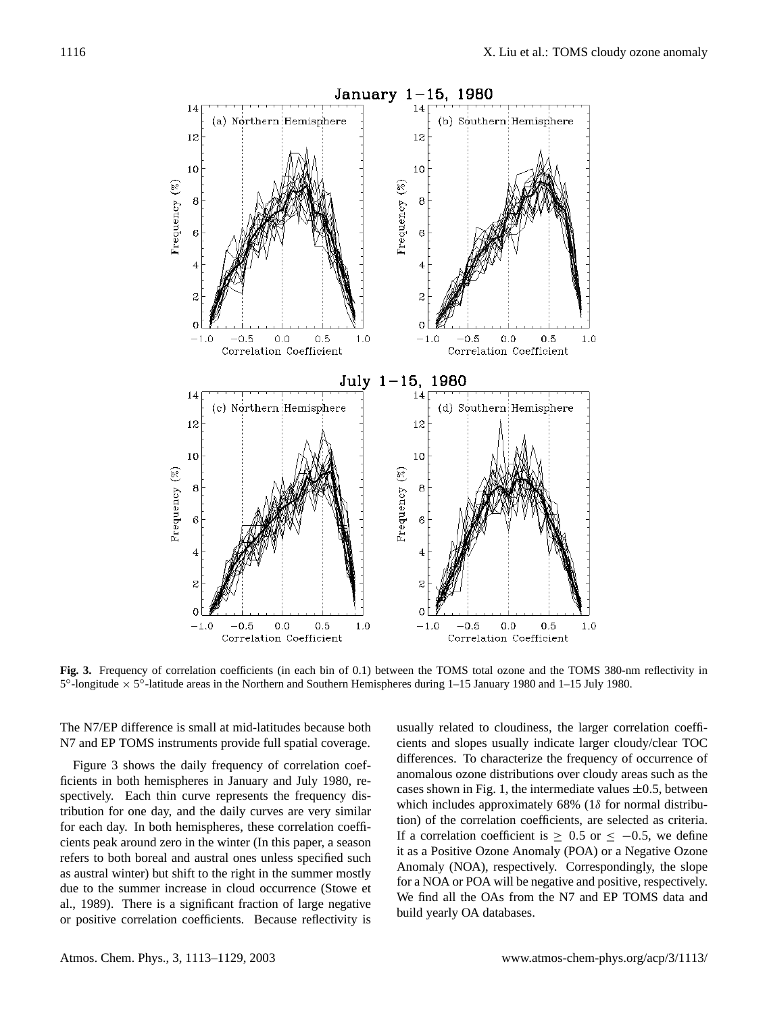

Fig. 3. Frequency of correlation coefficients (in each bin of 0.1) between the TOMS total ozone and the TOMS 380-nm reflectivity in 5°-longitude × 5°-latitude areas in the Northern and Southern Hemispheres during 1–15 January 1980 and 1–15 July 1980.

The N7/EP difference is small at mid-latitudes because both N7 and EP TOMS instruments provide full spatial coverage.

Figure 3 shows the daily frequency of correlation coefficients in both hemispheres in January and July 1980, respectively. Each thin curve represents the frequency distribution for one day, and the daily curves are very similar for each day. In both hemispheres, these correlation coefficients peak around zero in the winter (In this paper, a season refers to both boreal and austral ones unless specified such as austral winter) but shift to the right in the summer mostly due to the summer increase in cloud occurrence (Stowe et al., 1989). There is a significant fraction of large negative or positive correlation coefficients. Because reflectivity is usually related to cloudiness, the larger correlation coefficients and slopes usually indicate larger cloudy/clear TOC differences. To characterize the frequency of occurrence of anomalous ozone distributions over cloudy areas such as the cases shown in Fig. 1, the intermediate values  $\pm 0.5$ , between which includes approximately  $68\%$  (1 $\delta$  for normal distribution) of the correlation coefficients, are selected as criteria. If a correlation coefficient is  $\geq 0.5$  or  $\leq -0.5$ , we define it as a Positive Ozone Anomaly (POA) or a Negative Ozone Anomaly (NOA), respectively. Correspondingly, the slope for a NOA or POA will be negative and positive, respectively. We find all the OAs from the N7 and EP TOMS data and build yearly OA databases.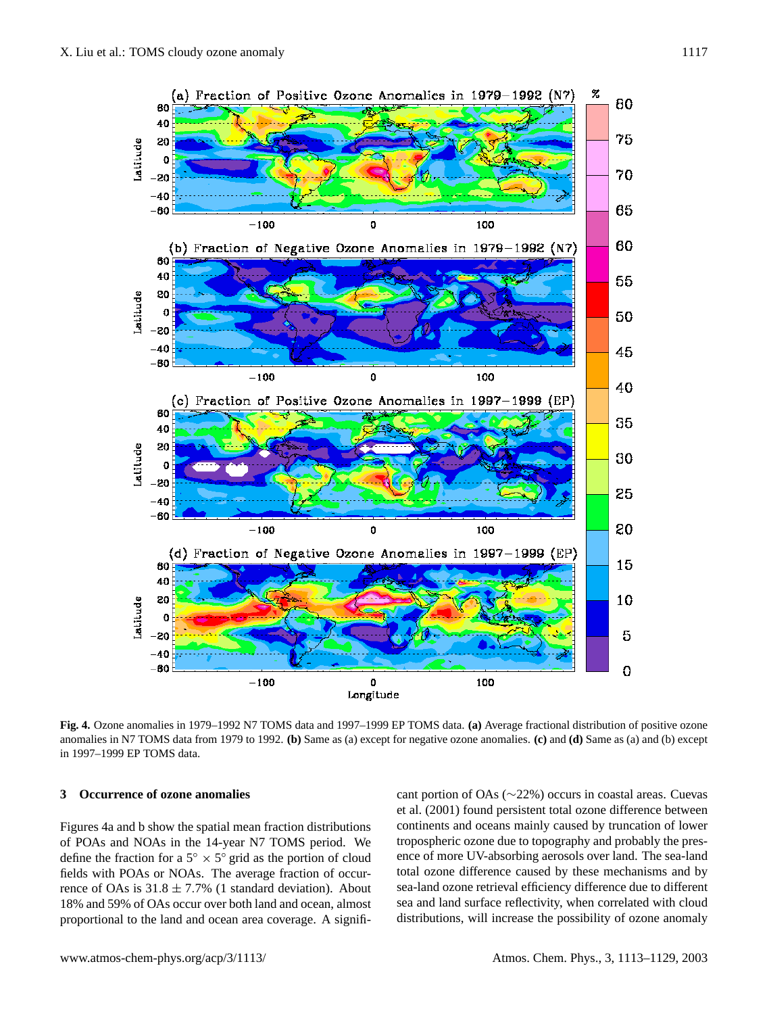

**Fig. 4.** Ozone anomalies in 1979–1992 N7 TOMS data and 1997–1999 EP TOMS data. **(a)** Average fractional distribution of positive ozone anomalies in N7 TOMS data from 1979 to 1992. **(b)** Same as (a) except for negative ozone anomalies. **(c)** and **(d)** Same as (a) and (b) except in 1997–1999 EP TOMS data.

# **3 Occurrence of ozone anomalies**

Figures 4a and b show the spatial mean fraction distributions of POAs and NOAs in the 14-year N7 TOMS period. We define the fraction for a  $5^\circ \times 5^\circ$  grid as the portion of cloud fields with POAs or NOAs. The average fraction of occurrence of OAs is  $31.8 \pm 7.7\%$  (1 standard deviation). About 18% and 59% of OAs occur over both land and ocean, almost proportional to the land and ocean area coverage. A significant portion of OAs (∼22%) occurs in coastal areas. Cuevas et al. (2001) found persistent total ozone difference between continents and oceans mainly caused by truncation of lower tropospheric ozone due to topography and probably the presence of more UV-absorbing aerosols over land. The sea-land total ozone difference caused by these mechanisms and by sea-land ozone retrieval efficiency difference due to different sea and land surface reflectivity, when correlated with cloud distributions, will increase the possibility of ozone anomaly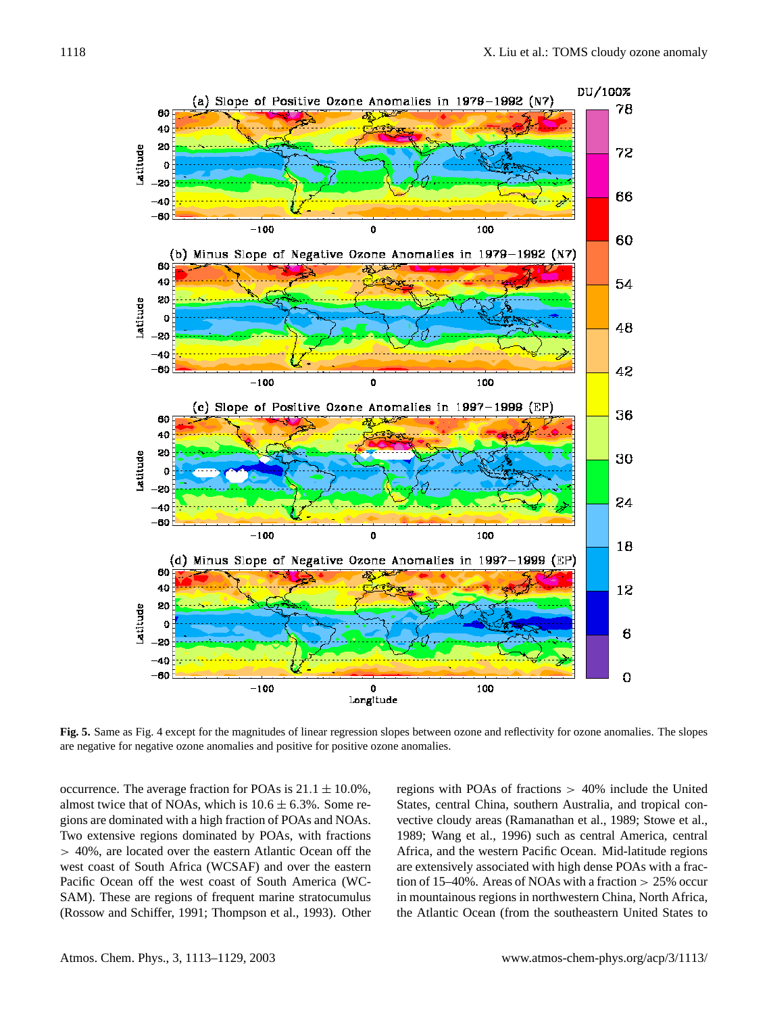

**Fig. 5.** Same as Fig. 4 except for the magnitudes of linear regression slopes between ozone and reflectivity for ozone anomalies. The slopes are negative for negative ozone anomalies and positive for positive ozone anomalies.

occurrence. The average fraction for POAs is  $21.1 \pm 10.0\%$ , almost twice that of NOAs, which is  $10.6 \pm 6.3$ %. Some regions are dominated with a high fraction of POAs and NOAs. Two extensive regions dominated by POAs, with fractions > 40%, are located over the eastern Atlantic Ocean off the west coast of South Africa (WCSAF) and over the eastern Pacific Ocean off the west coast of South America (WC-SAM). These are regions of frequent marine stratocumulus (Rossow and Schiffer, 1991; Thompson et al., 1993). Other regions with POAs of fractions > 40% include the United States, central China, southern Australia, and tropical convective cloudy areas (Ramanathan et al., 1989; Stowe et al., 1989; Wang et al., 1996) such as central America, central Africa, and the western Pacific Ocean. Mid-latitude regions are extensively associated with high dense POAs with a fraction of 15–40%. Areas of NOAs with a fraction > 25% occur in mountainous regions in northwestern China, North Africa, the Atlantic Ocean (from the southeastern United States to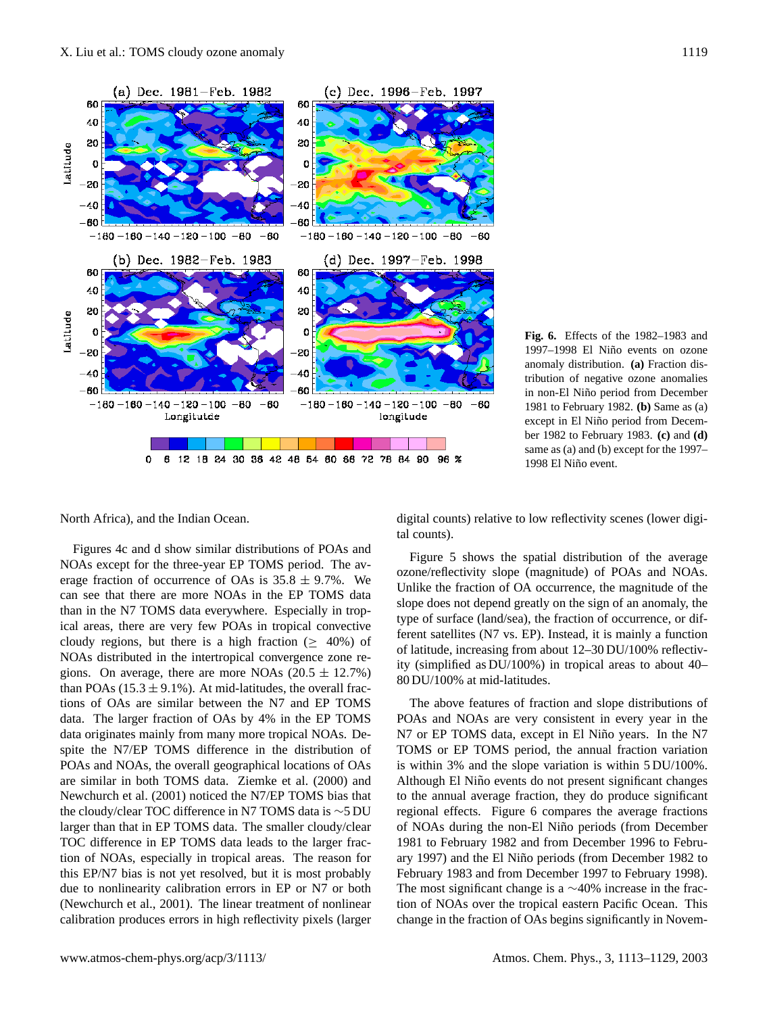

**Fig. 6.** Effects of the 1982–1983 and 1997–1998 El Niño events on ozone anomaly distribution. **(a)** Fraction distribution of negative ozone anomalies in non-El Niño period from December 1981 to February 1982. **(b)** Same as (a) except in El Niño period from December 1982 to February 1983. **(c)** and **(d)** same as (a) and (b) except for the 1997– 1998 El Niño event.

North Africa), and the Indian Ocean.

Figures 4c and d show similar distributions of POAs and NOAs except for the three-year EP TOMS period. The average fraction of occurrence of OAs is  $35.8 \pm 9.7$ %. We can see that there are more NOAs in the EP TOMS data than in the N7 TOMS data everywhere. Especially in tropical areas, there are very few POAs in tropical convective cloudy regions, but there is a high fraction ( $\geq 40\%$ ) of NOAs distributed in the intertropical convergence zone regions. On average, there are more NOAs  $(20.5 \pm 12.7\%)$ than POAs  $(15.3 \pm 9.1\%)$ . At mid-latitudes, the overall fractions of OAs are similar between the N7 and EP TOMS data. The larger fraction of OAs by 4% in the EP TOMS data originates mainly from many more tropical NOAs. Despite the N7/EP TOMS difference in the distribution of POAs and NOAs, the overall geographical locations of OAs are similar in both TOMS data. Ziemke et al. (2000) and Newchurch et al. (2001) noticed the N7/EP TOMS bias that the cloudy/clear TOC difference in N7 TOMS data is ∼5 DU larger than that in EP TOMS data. The smaller cloudy/clear TOC difference in EP TOMS data leads to the larger fraction of NOAs, especially in tropical areas. The reason for this EP/N7 bias is not yet resolved, but it is most probably due to nonlinearity calibration errors in EP or N7 or both (Newchurch et al., 2001). The linear treatment of nonlinear calibration produces errors in high reflectivity pixels (larger digital counts) relative to low reflectivity scenes (lower digital counts).

Figure 5 shows the spatial distribution of the average ozone/reflectivity slope (magnitude) of POAs and NOAs. Unlike the fraction of OA occurrence, the magnitude of the slope does not depend greatly on the sign of an anomaly, the type of surface (land/sea), the fraction of occurrence, or different satellites (N7 vs. EP). Instead, it is mainly a function of latitude, increasing from about 12–30 DU/100% reflectivity (simplified as DU/100%) in tropical areas to about 40– 80 DU/100% at mid-latitudes.

The above features of fraction and slope distributions of POAs and NOAs are very consistent in every year in the N7 or EP TOMS data, except in El Niño years. In the N7 TOMS or EP TOMS period, the annual fraction variation is within 3% and the slope variation is within 5 DU/100%. Although El Niño events do not present significant changes to the annual average fraction, they do produce significant regional effects. Figure 6 compares the average fractions of NOAs during the non-El Niño periods (from December 1981 to February 1982 and from December 1996 to February 1997) and the El Niño periods (from December 1982 to February 1983 and from December 1997 to February 1998). The most significant change is a ∼40% increase in the fraction of NOAs over the tropical eastern Pacific Ocean. This change in the fraction of OAs begins significantly in Novem-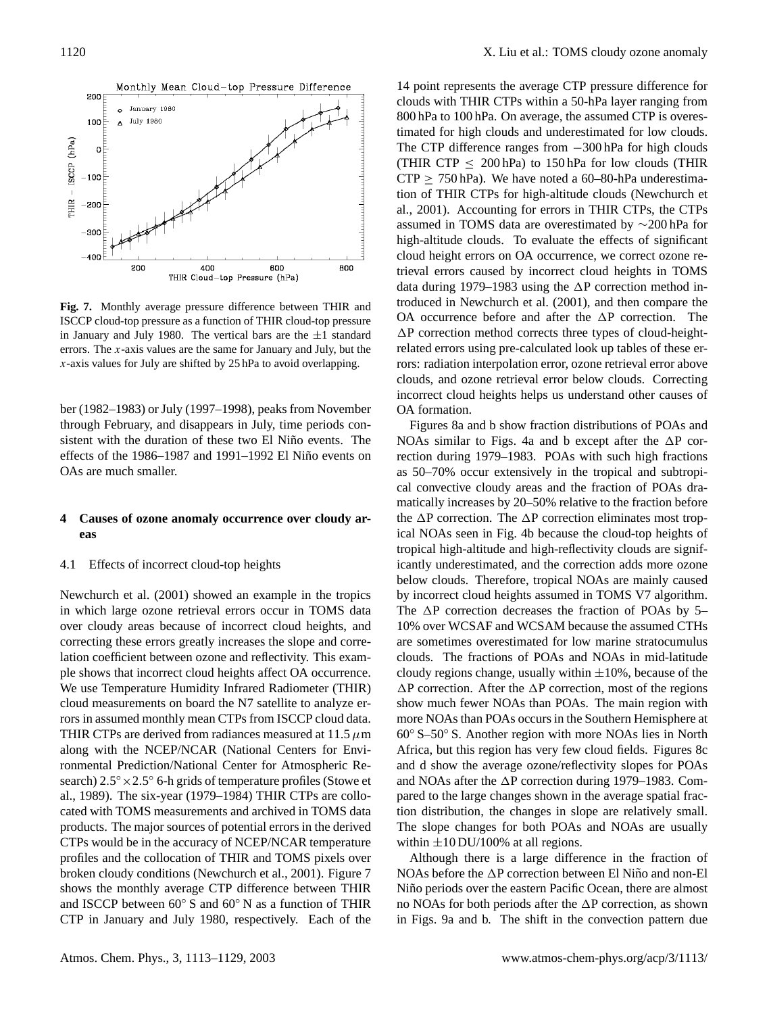

**Fig. 7.** Monthly average pressure difference between THIR and ISCCP cloud-top pressure as a function of THIR cloud-top pressure in January and July 1980. The vertical bars are the  $\pm 1$  standard errors. The  $x$ -axis values are the same for January and July, but the  $x$ -axis values for July are shifted by 25 hPa to avoid overlapping.

ber (1982–1983) or July (1997–1998), peaks from November through February, and disappears in July, time periods consistent with the duration of these two El Niño events. The effects of the 1986–1987 and 1991–1992 El Niño events on OAs are much smaller.

## **4 Causes of ozone anomaly occurrence over cloudy areas**

#### 4.1 Effects of incorrect cloud-top heights

Newchurch et al. (2001) showed an example in the tropics in which large ozone retrieval errors occur in TOMS data over cloudy areas because of incorrect cloud heights, and correcting these errors greatly increases the slope and correlation coefficient between ozone and reflectivity. This example shows that incorrect cloud heights affect OA occurrence. We use Temperature Humidity Infrared Radiometer (THIR) cloud measurements on board the N7 satellite to analyze errors in assumed monthly mean CTPs from ISCCP cloud data. THIR CTPs are derived from radiances measured at 11.5  $\mu$ m along with the NCEP/NCAR (National Centers for Environmental Prediction/National Center for Atmospheric Research)  $2.5^{\circ} \times 2.5^{\circ}$  6-h grids of temperature profiles (Stowe et al., 1989). The six-year (1979–1984) THIR CTPs are collocated with TOMS measurements and archived in TOMS data products. The major sources of potential errors in the derived CTPs would be in the accuracy of NCEP/NCAR temperature profiles and the collocation of THIR and TOMS pixels over broken cloudy conditions (Newchurch et al., 2001). Figure 7 shows the monthly average CTP difference between THIR and ISCCP between 60◦ S and 60◦ N as a function of THIR CTP in January and July 1980, respectively. Each of the

14 point represents the average CTP pressure difference for clouds with THIR CTPs within a 50-hPa layer ranging from 800 hPa to 100 hPa. On average, the assumed CTP is overestimated for high clouds and underestimated for low clouds. The CTP difference ranges from −300 hPa for high clouds (THIR CTP  $\leq 200$  hPa) to 150 hPa for low clouds (THIR  $CTP \geq 750$  hPa). We have noted a 60–80-hPa underestimation of THIR CTPs for high-altitude clouds (Newchurch et al., 2001). Accounting for errors in THIR CTPs, the CTPs assumed in TOMS data are overestimated by ∼200 hPa for high-altitude clouds. To evaluate the effects of significant cloud height errors on OA occurrence, we correct ozone retrieval errors caused by incorrect cloud heights in TOMS data during 1979–1983 using the  $\Delta P$  correction method introduced in Newchurch et al. (2001), and then compare the OA occurrence before and after the  $\Delta P$  correction. The  $\Delta P$  correction method corrects three types of cloud-heightrelated errors using pre-calculated look up tables of these errors: radiation interpolation error, ozone retrieval error above clouds, and ozone retrieval error below clouds. Correcting incorrect cloud heights helps us understand other causes of OA formation.

Figures 8a and b show fraction distributions of POAs and NOAs similar to Figs. 4a and b except after the  $\Delta P$  correction during 1979–1983. POAs with such high fractions as 50–70% occur extensively in the tropical and subtropical convective cloudy areas and the fraction of POAs dramatically increases by 20–50% relative to the fraction before the  $\Delta P$  correction. The  $\Delta P$  correction eliminates most tropical NOAs seen in Fig. 4b because the cloud-top heights of tropical high-altitude and high-reflectivity clouds are significantly underestimated, and the correction adds more ozone below clouds. Therefore, tropical NOAs are mainly caused by incorrect cloud heights assumed in TOMS V7 algorithm. The  $\Delta P$  correction decreases the fraction of POAs by 5– 10% over WCSAF and WCSAM because the assumed CTHs are sometimes overestimated for low marine stratocumulus clouds. The fractions of POAs and NOAs in mid-latitude cloudy regions change, usually within  $\pm 10$ %, because of the  $\Delta P$  correction. After the  $\Delta P$  correction, most of the regions show much fewer NOAs than POAs. The main region with more NOAs than POAs occurs in the Southern Hemisphere at 60◦ S–50◦ S. Another region with more NOAs lies in North Africa, but this region has very few cloud fields. Figures 8c and d show the average ozone/reflectivity slopes for POAs and NOAs after the  $\Delta P$  correction during 1979–1983. Compared to the large changes shown in the average spatial fraction distribution, the changes in slope are relatively small. The slope changes for both POAs and NOAs are usually within  $\pm 10$  DU/100% at all regions.

Although there is a large difference in the fraction of NOAs before the  $\Delta P$  correction between El Niño and non-El Niño periods over the eastern Pacific Ocean, there are almost no NOAs for both periods after the  $\Delta P$  correction, as shown in Figs. 9a and b. The shift in the convection pattern due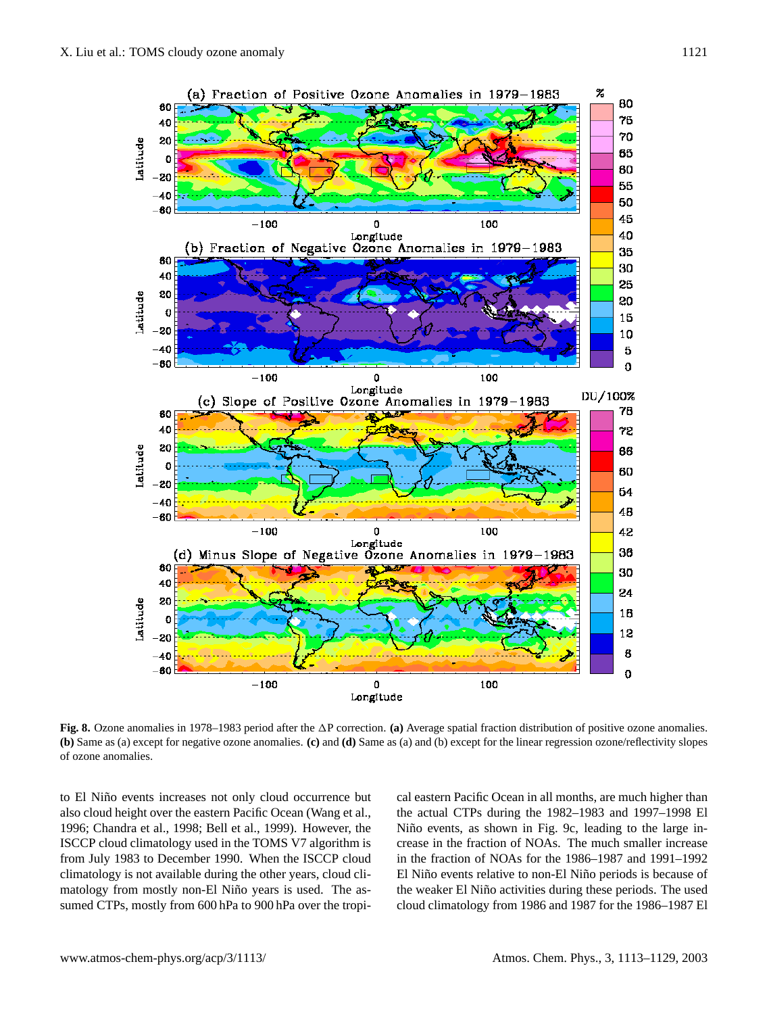

Fig. 8. Ozone anomalies in 1978–1983 period after the  $\Delta P$  correction. (a) Average spatial fraction distribution of positive ozone anomalies. **(b)** Same as (a) except for negative ozone anomalies. **(c)** and **(d)** Same as (a) and (b) except for the linear regression ozone/reflectivity slopes of ozone anomalies.

to El Niño events increases not only cloud occurrence but also cloud height over the eastern Pacific Ocean (Wang et al., 1996; Chandra et al., 1998; Bell et al., 1999). However, the ISCCP cloud climatology used in the TOMS V7 algorithm is from July 1983 to December 1990. When the ISCCP cloud climatology is not available during the other years, cloud climatology from mostly non-El Niño years is used. The assumed CTPs, mostly from 600 hPa to 900 hPa over the tropical eastern Pacific Ocean in all months, are much higher than the actual CTPs during the 1982–1983 and 1997–1998 El Niño events, as shown in Fig. 9c, leading to the large increase in the fraction of NOAs. The much smaller increase in the fraction of NOAs for the 1986–1987 and 1991–1992 El Niño events relative to non-El Niño periods is because of the weaker El Niño activities during these periods. The used cloud climatology from 1986 and 1987 for the 1986–1987 El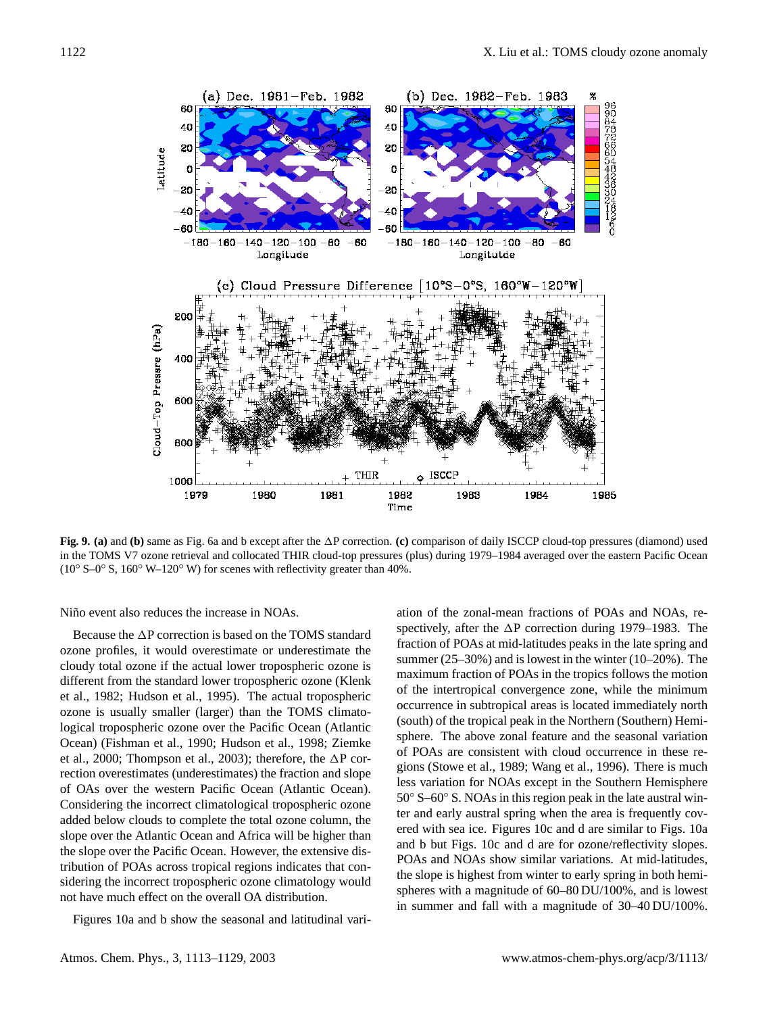

**Fig. 9. (a)** and **(b)** same as Fig. 6a and b except after the 1P correction. **(c)** comparison of daily ISCCP cloud-top pressures (diamond) used in the TOMS V7 ozone retrieval and collocated THIR cloud-top pressures (plus) during 1979–1984 averaged over the eastern Pacific Ocean ( $10° S$ – $0° S$ ,  $160° W$ – $120° W$ ) for scenes with reflectivity greater than 40%.

Niño event also reduces the increase in NOAs.

Because the  $\Delta P$  correction is based on the TOMS standard ozone profiles, it would overestimate or underestimate the cloudy total ozone if the actual lower tropospheric ozone is different from the standard lower tropospheric ozone (Klenk et al., 1982; Hudson et al., 1995). The actual tropospheric ozone is usually smaller (larger) than the TOMS climatological tropospheric ozone over the Pacific Ocean (Atlantic Ocean) (Fishman et al., 1990; Hudson et al., 1998; Ziemke et al., 2000; Thompson et al., 2003); therefore, the  $\Delta P$  correction overestimates (underestimates) the fraction and slope of OAs over the western Pacific Ocean (Atlantic Ocean). Considering the incorrect climatological tropospheric ozone added below clouds to complete the total ozone column, the slope over the Atlantic Ocean and Africa will be higher than the slope over the Pacific Ocean. However, the extensive distribution of POAs across tropical regions indicates that considering the incorrect tropospheric ozone climatology would not have much effect on the overall OA distribution.

Figures 10a and b show the seasonal and latitudinal vari-

ation of the zonal-mean fractions of POAs and NOAs, respectively, after the  $\Delta P$  correction during 1979–1983. The fraction of POAs at mid-latitudes peaks in the late spring and summer (25–30%) and is lowest in the winter (10–20%). The maximum fraction of POAs in the tropics follows the motion of the intertropical convergence zone, while the minimum occurrence in subtropical areas is located immediately north (south) of the tropical peak in the Northern (Southern) Hemisphere. The above zonal feature and the seasonal variation of POAs are consistent with cloud occurrence in these regions (Stowe et al., 1989; Wang et al., 1996). There is much less variation for NOAs except in the Southern Hemisphere 50<sup>°</sup> S–60<sup>°</sup> S. NOAs in this region peak in the late austral winter and early austral spring when the area is frequently covered with sea ice. Figures 10c and d are similar to Figs. 10a and b but Figs. 10c and d are for ozone/reflectivity slopes. POAs and NOAs show similar variations. At mid-latitudes, the slope is highest from winter to early spring in both hemispheres with a magnitude of 60–80 DU/100%, and is lowest in summer and fall with a magnitude of 30–40 DU/100%.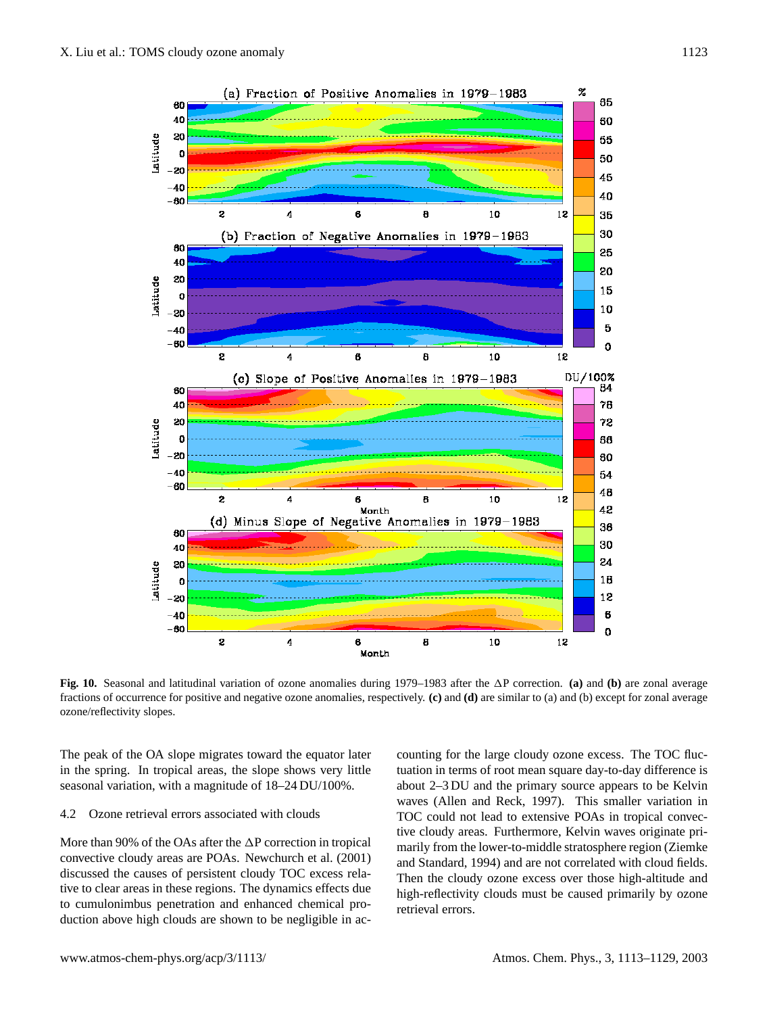

**Fig. 10.** Seasonal and latitudinal variation of ozone anomalies during 1979–1983 after the  $\Delta P$  correction. **(a)** and **(b)** are zonal average fractions of occurrence for positive and negative ozone anomalies, respectively. **(c)** and **(d)** are similar to (a) and (b) except for zonal average ozone/reflectivity slopes.

The peak of the OA slope migrates toward the equator later in the spring. In tropical areas, the slope shows very little seasonal variation, with a magnitude of 18–24 DU/100%.

#### 4.2 Ozone retrieval errors associated with clouds

More than 90% of the OAs after the  $\Delta P$  correction in tropical convective cloudy areas are POAs. Newchurch et al. (2001) discussed the causes of persistent cloudy TOC excess relative to clear areas in these regions. The dynamics effects due to cumulonimbus penetration and enhanced chemical production above high clouds are shown to be negligible in accounting for the large cloudy ozone excess. The TOC fluctuation in terms of root mean square day-to-day difference is about 2–3 DU and the primary source appears to be Kelvin waves (Allen and Reck, 1997). This smaller variation in TOC could not lead to extensive POAs in tropical convective cloudy areas. Furthermore, Kelvin waves originate primarily from the lower-to-middle stratosphere region (Ziemke and Standard, 1994) and are not correlated with cloud fields. Then the cloudy ozone excess over those high-altitude and high-reflectivity clouds must be caused primarily by ozone retrieval errors.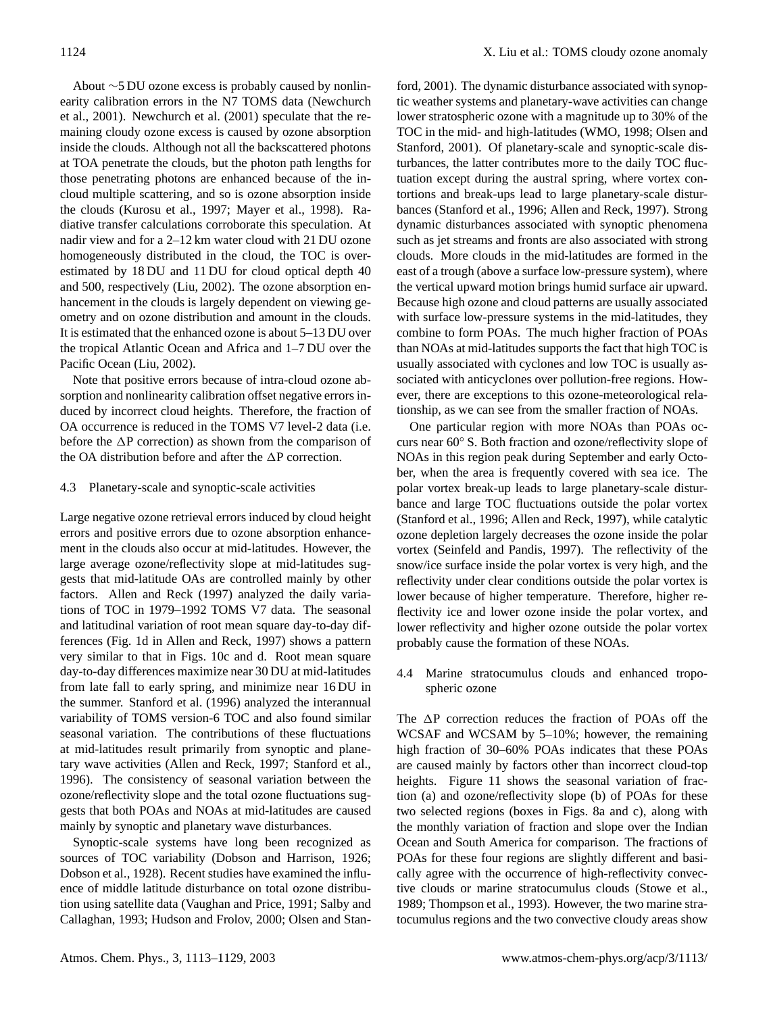About ∼5 DU ozone excess is probably caused by nonlinearity calibration errors in the N7 TOMS data (Newchurch et al., 2001). Newchurch et al. (2001) speculate that the remaining cloudy ozone excess is caused by ozone absorption inside the clouds. Although not all the backscattered photons at TOA penetrate the clouds, but the photon path lengths for those penetrating photons are enhanced because of the incloud multiple scattering, and so is ozone absorption inside the clouds (Kurosu et al., 1997; Mayer et al., 1998). Radiative transfer calculations corroborate this speculation. At nadir view and for a 2–12 km water cloud with 21 DU ozone homogeneously distributed in the cloud, the TOC is overestimated by 18 DU and 11 DU for cloud optical depth 40 and 500, respectively (Liu, 2002). The ozone absorption enhancement in the clouds is largely dependent on viewing geometry and on ozone distribution and amount in the clouds. It is estimated that the enhanced ozone is about 5–13 DU over the tropical Atlantic Ocean and Africa and 1–7 DU over the Pacific Ocean (Liu, 2002).

Note that positive errors because of intra-cloud ozone absorption and nonlinearity calibration offset negative errors induced by incorrect cloud heights. Therefore, the fraction of OA occurrence is reduced in the TOMS V7 level-2 data (i.e. before the  $\Delta P$  correction) as shown from the comparison of the OA distribution before and after the  $\Delta P$  correction.

## 4.3 Planetary-scale and synoptic-scale activities

Large negative ozone retrieval errors induced by cloud height errors and positive errors due to ozone absorption enhancement in the clouds also occur at mid-latitudes. However, the large average ozone/reflectivity slope at mid-latitudes suggests that mid-latitude OAs are controlled mainly by other factors. Allen and Reck (1997) analyzed the daily variations of TOC in 1979–1992 TOMS V7 data. The seasonal and latitudinal variation of root mean square day-to-day differences (Fig. 1d in Allen and Reck, 1997) shows a pattern very similar to that in Figs. 10c and d. Root mean square day-to-day differences maximize near 30 DU at mid-latitudes from late fall to early spring, and minimize near 16 DU in the summer. Stanford et al. (1996) analyzed the interannual variability of TOMS version-6 TOC and also found similar seasonal variation. The contributions of these fluctuations at mid-latitudes result primarily from synoptic and planetary wave activities (Allen and Reck, 1997; Stanford et al., 1996). The consistency of seasonal variation between the ozone/reflectivity slope and the total ozone fluctuations suggests that both POAs and NOAs at mid-latitudes are caused mainly by synoptic and planetary wave disturbances.

Synoptic-scale systems have long been recognized as sources of TOC variability (Dobson and Harrison, 1926; Dobson et al., 1928). Recent studies have examined the influence of middle latitude disturbance on total ozone distribution using satellite data (Vaughan and Price, 1991; Salby and Callaghan, 1993; Hudson and Frolov, 2000; Olsen and Stan-

ford, 2001). The dynamic disturbance associated with synoptic weather systems and planetary-wave activities can change lower stratospheric ozone with a magnitude up to 30% of the TOC in the mid- and high-latitudes (WMO, 1998; Olsen and Stanford, 2001). Of planetary-scale and synoptic-scale disturbances, the latter contributes more to the daily TOC fluctuation except during the austral spring, where vortex contortions and break-ups lead to large planetary-scale disturbances (Stanford et al., 1996; Allen and Reck, 1997). Strong dynamic disturbances associated with synoptic phenomena such as jet streams and fronts are also associated with strong clouds. More clouds in the mid-latitudes are formed in the east of a trough (above a surface low-pressure system), where the vertical upward motion brings humid surface air upward. Because high ozone and cloud patterns are usually associated with surface low-pressure systems in the mid-latitudes, they combine to form POAs. The much higher fraction of POAs than NOAs at mid-latitudes supports the fact that high TOC is usually associated with cyclones and low TOC is usually associated with anticyclones over pollution-free regions. However, there are exceptions to this ozone-meteorological relationship, as we can see from the smaller fraction of NOAs.

One particular region with more NOAs than POAs occurs near 60◦ S. Both fraction and ozone/reflectivity slope of NOAs in this region peak during September and early October, when the area is frequently covered with sea ice. The polar vortex break-up leads to large planetary-scale disturbance and large TOC fluctuations outside the polar vortex (Stanford et al., 1996; Allen and Reck, 1997), while catalytic ozone depletion largely decreases the ozone inside the polar vortex (Seinfeld and Pandis, 1997). The reflectivity of the snow/ice surface inside the polar vortex is very high, and the reflectivity under clear conditions outside the polar vortex is lower because of higher temperature. Therefore, higher reflectivity ice and lower ozone inside the polar vortex, and lower reflectivity and higher ozone outside the polar vortex probably cause the formation of these NOAs.

4.4 Marine stratocumulus clouds and enhanced tropospheric ozone

The  $\Delta P$  correction reduces the fraction of POAs off the WCSAF and WCSAM by 5–10%; however, the remaining high fraction of 30–60% POAs indicates that these POAs are caused mainly by factors other than incorrect cloud-top heights. Figure 11 shows the seasonal variation of fraction (a) and ozone/reflectivity slope (b) of POAs for these two selected regions (boxes in Figs. 8a and c), along with the monthly variation of fraction and slope over the Indian Ocean and South America for comparison. The fractions of POAs for these four regions are slightly different and basically agree with the occurrence of high-reflectivity convective clouds or marine stratocumulus clouds (Stowe et al., 1989; Thompson et al., 1993). However, the two marine stratocumulus regions and the two convective cloudy areas show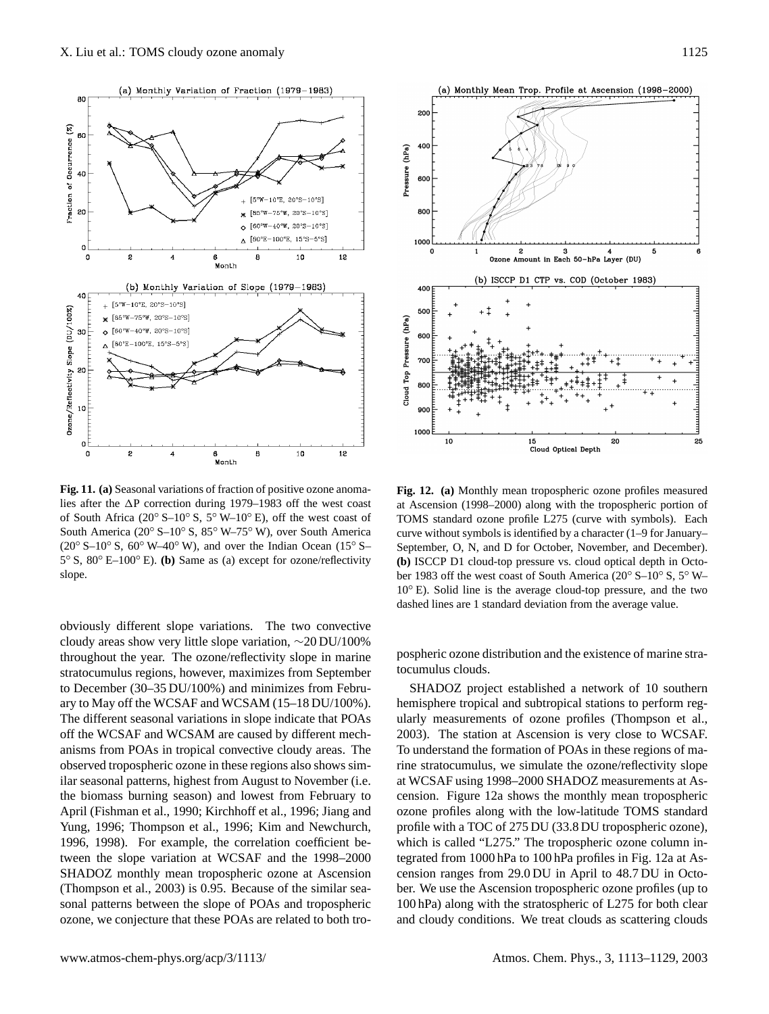

**Fig. 11. (a)** Seasonal variations of fraction of positive ozone anomalies after the  $\Delta P$  correction during 1979–1983 off the west coast of South Africa (20◦ S–10◦ S, 5◦ W–10◦ E), off the west coast of South America (20◦ S–10◦ S, 85◦ W–75◦ W), over South America  $(20° S-10° S, 60° W-40° W)$ , and over the Indian Ocean  $(15° S-10° S, 60° W-40° W)$ 5 ◦ S, 80◦ E–100◦ E). **(b)** Same as (a) except for ozone/reflectivity slope.

obviously different slope variations. The two convective cloudy areas show very little slope variation, ∼20 DU/100% throughout the year. The ozone/reflectivity slope in marine stratocumulus regions, however, maximizes from September to December (30–35 DU/100%) and minimizes from February to May off the WCSAF and WCSAM (15–18 DU/100%). The different seasonal variations in slope indicate that POAs off the WCSAF and WCSAM are caused by different mechanisms from POAs in tropical convective cloudy areas. The observed tropospheric ozone in these regions also shows similar seasonal patterns, highest from August to November (i.e. the biomass burning season) and lowest from February to April (Fishman et al., 1990; Kirchhoff et al., 1996; Jiang and Yung, 1996; Thompson et al., 1996; Kim and Newchurch, 1996, 1998). For example, the correlation coefficient between the slope variation at WCSAF and the 1998–2000 SHADOZ monthly mean tropospheric ozone at Ascension (Thompson et al., 2003) is 0.95. Because of the similar seasonal patterns between the slope of POAs and tropospheric ozone, we conjecture that these POAs are related to both tro-



**Fig. 12. (a)** Monthly mean tropospheric ozone profiles measured at Ascension (1998–2000) along with the tropospheric portion of TOMS standard ozone profile L275 (curve with symbols). Each curve without symbols is identified by a character (1–9 for January– September, O, N, and D for October, November, and December). **(b)** ISCCP D1 cloud-top pressure vs. cloud optical depth in October 1983 off the west coast of South America (20◦ S–10◦ S, 5◦ W– 10◦ E). Solid line is the average cloud-top pressure, and the two dashed lines are 1 standard deviation from the average value.

pospheric ozone distribution and the existence of marine stratocumulus clouds.

SHADOZ project established a network of 10 southern hemisphere tropical and subtropical stations to perform regularly measurements of ozone profiles (Thompson et al., 2003). The station at Ascension is very close to WCSAF. To understand the formation of POAs in these regions of marine stratocumulus, we simulate the ozone/reflectivity slope at WCSAF using 1998–2000 SHADOZ measurements at Ascension. Figure 12a shows the monthly mean tropospheric ozone profiles along with the low-latitude TOMS standard profile with a TOC of 275 DU (33.8 DU tropospheric ozone), which is called "L275." The tropospheric ozone column integrated from 1000 hPa to 100 hPa profiles in Fig. 12a at Ascension ranges from 29.0 DU in April to 48.7 DU in October. We use the Ascension tropospheric ozone profiles (up to 100 hPa) along with the stratospheric of L275 for both clear and cloudy conditions. We treat clouds as scattering clouds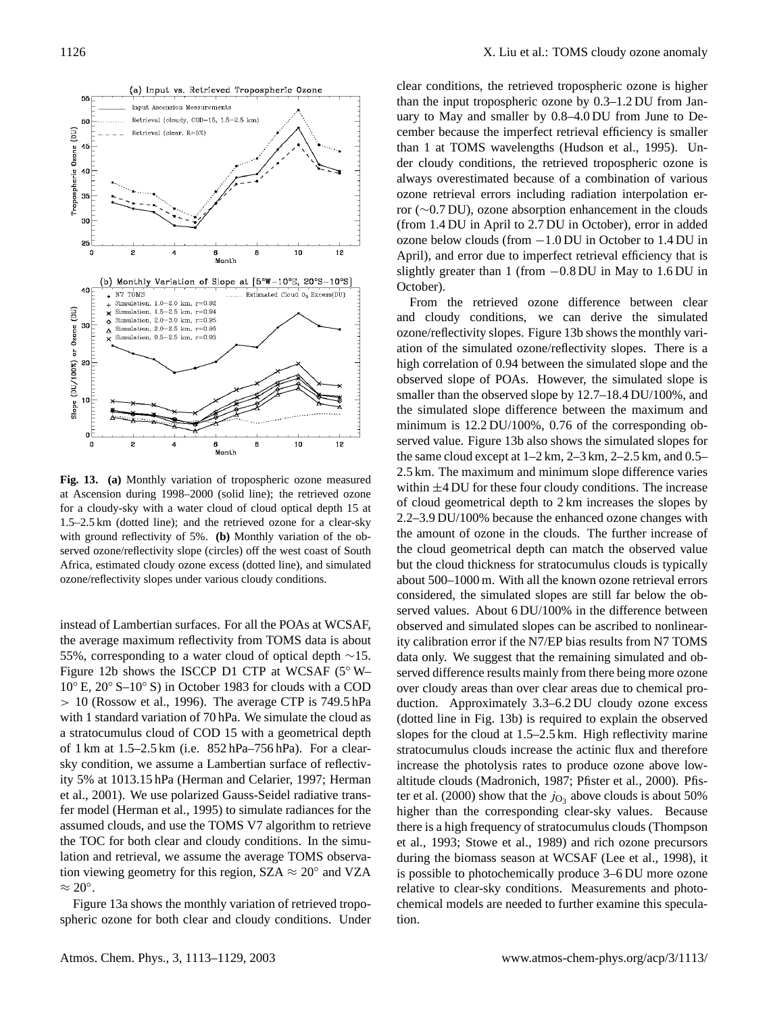

**Fig. 13. (a)** Monthly variation of tropospheric ozone measured at Ascension during 1998–2000 (solid line); the retrieved ozone for a cloudy-sky with a water cloud of cloud optical depth 15 at 1.5–2.5 km (dotted line); and the retrieved ozone for a clear-sky with ground reflectivity of 5%. **(b)** Monthly variation of the observed ozone/reflectivity slope (circles) off the west coast of South Africa, estimated cloudy ozone excess (dotted line), and simulated ozone/reflectivity slopes under various cloudy conditions.

instead of Lambertian surfaces. For all the POAs at WCSAF, the average maximum reflectivity from TOMS data is about 55%, corresponding to a water cloud of optical depth ∼15. Figure 12b shows the ISCCP D1 CTP at WCSAF (5◦ W– 10◦ E, 20◦ S–10◦ S) in October 1983 for clouds with a COD  $> 10$  (Rossow et al., 1996). The average CTP is 749.5 hPa with 1 standard variation of 70 hPa. We simulate the cloud as a stratocumulus cloud of COD 15 with a geometrical depth of 1 km at 1.5–2.5 km (i.e. 852 hPa–756 hPa). For a clearsky condition, we assume a Lambertian surface of reflectivity 5% at 1013.15 hPa (Herman and Celarier, 1997; Herman et al., 2001). We use polarized Gauss-Seidel radiative transfer model (Herman et al., 1995) to simulate radiances for the assumed clouds, and use the TOMS V7 algorithm to retrieve the TOC for both clear and cloudy conditions. In the simulation and retrieval, we assume the average TOMS observation viewing geometry for this region,  $SZA \approx 20^\circ$  and VZA  $\approx 20^{\circ}$ .

Figure 13a shows the monthly variation of retrieved tropospheric ozone for both clear and cloudy conditions. Under clear conditions, the retrieved tropospheric ozone is higher than the input tropospheric ozone by 0.3–1.2 DU from January to May and smaller by 0.8–4.0 DU from June to December because the imperfect retrieval efficiency is smaller than 1 at TOMS wavelengths (Hudson et al., 1995). Under cloudy conditions, the retrieved tropospheric ozone is always overestimated because of a combination of various ozone retrieval errors including radiation interpolation error (∼0.7 DU), ozone absorption enhancement in the clouds (from 1.4 DU in April to 2.7 DU in October), error in added ozone below clouds (from −1.0 DU in October to 1.4 DU in April), and error due to imperfect retrieval efficiency that is slightly greater than 1 (from −0.8 DU in May to 1.6 DU in October).

From the retrieved ozone difference between clear and cloudy conditions, we can derive the simulated ozone/reflectivity slopes. Figure 13b shows the monthly variation of the simulated ozone/reflectivity slopes. There is a high correlation of 0.94 between the simulated slope and the observed slope of POAs. However, the simulated slope is smaller than the observed slope by 12.7–18.4 DU/100%, and the simulated slope difference between the maximum and minimum is 12.2 DU/100%, 0.76 of the corresponding observed value. Figure 13b also shows the simulated slopes for the same cloud except at  $1-2$  km,  $2-3$  km,  $2-2.5$  km, and  $0.5-$ 2.5 km. The maximum and minimum slope difference varies within  $\pm$ 4 DU for these four cloudy conditions. The increase of cloud geometrical depth to 2 km increases the slopes by 2.2–3.9 DU/100% because the enhanced ozone changes with the amount of ozone in the clouds. The further increase of the cloud geometrical depth can match the observed value but the cloud thickness for stratocumulus clouds is typically about 500–1000 m. With all the known ozone retrieval errors considered, the simulated slopes are still far below the observed values. About 6 DU/100% in the difference between observed and simulated slopes can be ascribed to nonlinearity calibration error if the N7/EP bias results from N7 TOMS data only. We suggest that the remaining simulated and observed difference results mainly from there being more ozone over cloudy areas than over clear areas due to chemical production. Approximately 3.3–6.2 DU cloudy ozone excess (dotted line in Fig. 13b) is required to explain the observed slopes for the cloud at 1.5–2.5 km. High reflectivity marine stratocumulus clouds increase the actinic flux and therefore increase the photolysis rates to produce ozone above lowaltitude clouds (Madronich, 1987; Pfister et al., 2000). Pfister et al. (2000) show that the  $j_{\text{O}_3}$  above clouds is about 50% higher than the corresponding clear-sky values. Because there is a high frequency of stratocumulus clouds (Thompson et al., 1993; Stowe et al., 1989) and rich ozone precursors during the biomass season at WCSAF (Lee et al., 1998), it is possible to photochemically produce 3–6 DU more ozone relative to clear-sky conditions. Measurements and photochemical models are needed to further examine this speculation.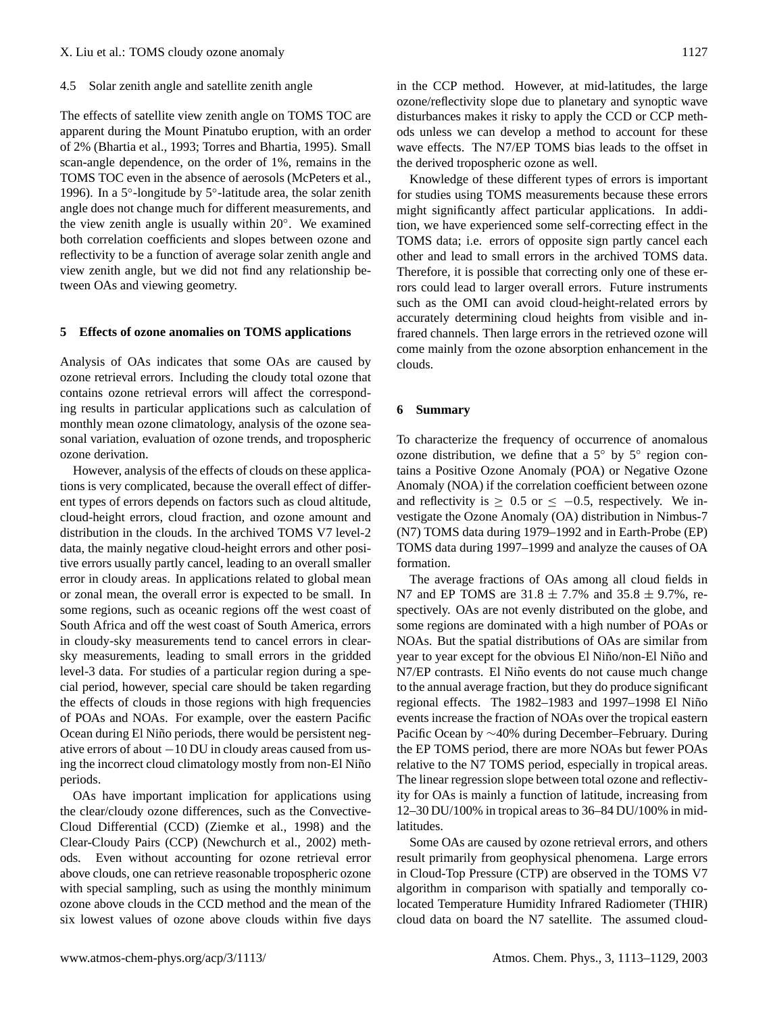#### 4.5 Solar zenith angle and satellite zenith angle

The effects of satellite view zenith angle on TOMS TOC are apparent during the Mount Pinatubo eruption, with an order of 2% (Bhartia et al., 1993; Torres and Bhartia, 1995). Small scan-angle dependence, on the order of 1%, remains in the TOMS TOC even in the absence of aerosols (McPeters et al., 1996). In a 5◦ -longitude by 5◦ -latitude area, the solar zenith angle does not change much for different measurements, and the view zenith angle is usually within 20◦ . We examined both correlation coefficients and slopes between ozone and reflectivity to be a function of average solar zenith angle and view zenith angle, but we did not find any relationship between OAs and viewing geometry.

## **5 Effects of ozone anomalies on TOMS applications**

Analysis of OAs indicates that some OAs are caused by ozone retrieval errors. Including the cloudy total ozone that contains ozone retrieval errors will affect the corresponding results in particular applications such as calculation of monthly mean ozone climatology, analysis of the ozone seasonal variation, evaluation of ozone trends, and tropospheric ozone derivation.

However, analysis of the effects of clouds on these applications is very complicated, because the overall effect of different types of errors depends on factors such as cloud altitude, cloud-height errors, cloud fraction, and ozone amount and distribution in the clouds. In the archived TOMS V7 level-2 data, the mainly negative cloud-height errors and other positive errors usually partly cancel, leading to an overall smaller error in cloudy areas. In applications related to global mean or zonal mean, the overall error is expected to be small. In some regions, such as oceanic regions off the west coast of South Africa and off the west coast of South America, errors in cloudy-sky measurements tend to cancel errors in clearsky measurements, leading to small errors in the gridded level-3 data. For studies of a particular region during a special period, however, special care should be taken regarding the effects of clouds in those regions with high frequencies of POAs and NOAs. For example, over the eastern Pacific Ocean during El Niño periods, there would be persistent negative errors of about  $-10$  DU in cloudy areas caused from using the incorrect cloud climatology mostly from non-El Niño periods.

OAs have important implication for applications using the clear/cloudy ozone differences, such as the Convective-Cloud Differential (CCD) (Ziemke et al., 1998) and the Clear-Cloudy Pairs (CCP) (Newchurch et al., 2002) methods. Even without accounting for ozone retrieval error above clouds, one can retrieve reasonable tropospheric ozone with special sampling, such as using the monthly minimum ozone above clouds in the CCD method and the mean of the six lowest values of ozone above clouds within five days in the CCP method. However, at mid-latitudes, the large ozone/reflectivity slope due to planetary and synoptic wave disturbances makes it risky to apply the CCD or CCP methods unless we can develop a method to account for these wave effects. The N7/EP TOMS bias leads to the offset in

the derived tropospheric ozone as well. Knowledge of these different types of errors is important for studies using TOMS measurements because these errors might significantly affect particular applications. In addition, we have experienced some self-correcting effect in the TOMS data; i.e. errors of opposite sign partly cancel each other and lead to small errors in the archived TOMS data. Therefore, it is possible that correcting only one of these errors could lead to larger overall errors. Future instruments such as the OMI can avoid cloud-height-related errors by accurately determining cloud heights from visible and infrared channels. Then large errors in the retrieved ozone will come mainly from the ozone absorption enhancement in the clouds.

## **6 Summary**

To characterize the frequency of occurrence of anomalous ozone distribution, we define that a 5◦ by 5◦ region contains a Positive Ozone Anomaly (POA) or Negative Ozone Anomaly (NOA) if the correlation coefficient between ozone and reflectivity is  $\geq 0.5$  or  $\leq -0.5$ , respectively. We investigate the Ozone Anomaly (OA) distribution in Nimbus-7 (N7) TOMS data during 1979–1992 and in Earth-Probe (EP) TOMS data during 1997–1999 and analyze the causes of OA formation.

The average fractions of OAs among all cloud fields in N7 and EP TOMS are  $31.8 \pm 7.7\%$  and  $35.8 \pm 9.7\%$ , respectively. OAs are not evenly distributed on the globe, and some regions are dominated with a high number of POAs or NOAs. But the spatial distributions of OAs are similar from year to year except for the obvious El Niño/non-El Niño and N7/EP contrasts. El Niño events do not cause much change to the annual average fraction, but they do produce significant regional effects. The 1982–1983 and 1997–1998 El Niño events increase the fraction of NOAs over the tropical eastern Pacific Ocean by ∼40% during December–February. During the EP TOMS period, there are more NOAs but fewer POAs relative to the N7 TOMS period, especially in tropical areas. The linear regression slope between total ozone and reflectivity for OAs is mainly a function of latitude, increasing from 12–30 DU/100% in tropical areas to 36–84 DU/100% in midlatitudes.

Some OAs are caused by ozone retrieval errors, and others result primarily from geophysical phenomena. Large errors in Cloud-Top Pressure (CTP) are observed in the TOMS V7 algorithm in comparison with spatially and temporally colocated Temperature Humidity Infrared Radiometer (THIR) cloud data on board the N7 satellite. The assumed cloud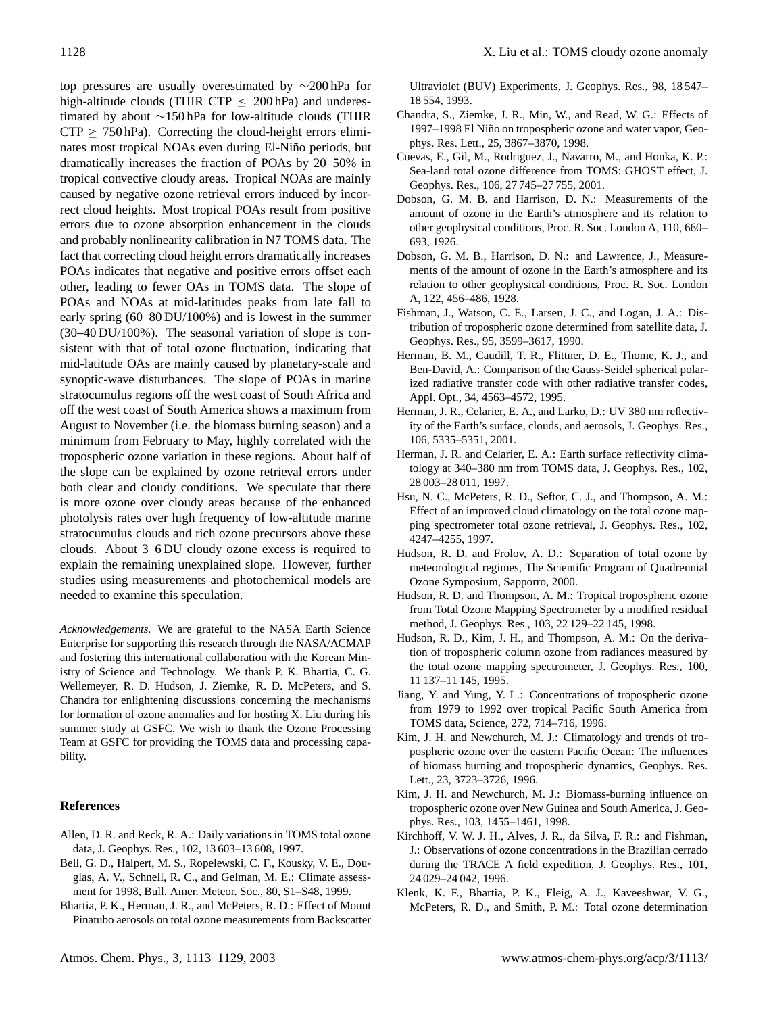top pressures are usually overestimated by ∼200 hPa for high-altitude clouds (THIR CTP  $\leq$  200 hPa) and underestimated by about ∼150 hPa for low-altitude clouds (THIR  $CTP \geq 750$  hPa). Correcting the cloud-height errors eliminates most tropical NOAs even during El-Niño periods, but dramatically increases the fraction of POAs by 20–50% in tropical convective cloudy areas. Tropical NOAs are mainly caused by negative ozone retrieval errors induced by incorrect cloud heights. Most tropical POAs result from positive errors due to ozone absorption enhancement in the clouds and probably nonlinearity calibration in N7 TOMS data. The fact that correcting cloud height errors dramatically increases POAs indicates that negative and positive errors offset each other, leading to fewer OAs in TOMS data. The slope of POAs and NOAs at mid-latitudes peaks from late fall to early spring (60–80 DU/100%) and is lowest in the summer (30–40 DU/100%). The seasonal variation of slope is consistent with that of total ozone fluctuation, indicating that mid-latitude OAs are mainly caused by planetary-scale and synoptic-wave disturbances. The slope of POAs in marine stratocumulus regions off the west coast of South Africa and off the west coast of South America shows a maximum from August to November (i.e. the biomass burning season) and a minimum from February to May, highly correlated with the tropospheric ozone variation in these regions. About half of the slope can be explained by ozone retrieval errors under both clear and cloudy conditions. We speculate that there is more ozone over cloudy areas because of the enhanced photolysis rates over high frequency of low-altitude marine stratocumulus clouds and rich ozone precursors above these clouds. About 3–6 DU cloudy ozone excess is required to explain the remaining unexplained slope. However, further studies using measurements and photochemical models are needed to examine this speculation.

*Acknowledgements.* We are grateful to the NASA Earth Science Enterprise for supporting this research through the NASA/ACMAP and fostering this international collaboration with the Korean Ministry of Science and Technology. We thank P. K. Bhartia, C. G. Wellemeyer, R. D. Hudson, J. Ziemke, R. D. McPeters, and S. Chandra for enlightening discussions concerning the mechanisms for formation of ozone anomalies and for hosting X. Liu during his summer study at GSFC. We wish to thank the Ozone Processing Team at GSFC for providing the TOMS data and processing capability.

#### **References**

- Allen, D. R. and Reck, R. A.: Daily variations in TOMS total ozone data, J. Geophys. Res., 102, 13 603–13 608, 1997.
- Bell, G. D., Halpert, M. S., Ropelewski, C. F., Kousky, V. E., Douglas, A. V., Schnell, R. C., and Gelman, M. E.: Climate assessment for 1998, Bull. Amer. Meteor. Soc., 80, S1–S48, 1999.
- Bhartia, P. K., Herman, J. R., and McPeters, R. D.: Effect of Mount Pinatubo aerosols on total ozone measurements from Backscatter

Ultraviolet (BUV) Experiments, J. Geophys. Res., 98, 18 547– 18 554, 1993.

- Chandra, S., Ziemke, J. R., Min, W., and Read, W. G.: Effects of 1997–1998 El Niño on tropospheric ozone and water vapor, Geophys. Res. Lett., 25, 3867–3870, 1998.
- Cuevas, E., Gil, M., Rodriguez, J., Navarro, M., and Honka, K. P.: Sea-land total ozone difference from TOMS: GHOST effect, J. Geophys. Res., 106, 27 745–27 755, 2001.
- Dobson, G. M. B. and Harrison, D. N.: Measurements of the amount of ozone in the Earth's atmosphere and its relation to other geophysical conditions, Proc. R. Soc. London A, 110, 660– 693, 1926.
- Dobson, G. M. B., Harrison, D. N.: and Lawrence, J., Measurements of the amount of ozone in the Earth's atmosphere and its relation to other geophysical conditions, Proc. R. Soc. London A, 122, 456–486, 1928.
- Fishman, J., Watson, C. E., Larsen, J. C., and Logan, J. A.: Distribution of tropospheric ozone determined from satellite data, J. Geophys. Res., 95, 3599–3617, 1990.
- Herman, B. M., Caudill, T. R., Flittner, D. E., Thome, K. J., and Ben-David, A.: Comparison of the Gauss-Seidel spherical polarized radiative transfer code with other radiative transfer codes, Appl. Opt., 34, 4563–4572, 1995.
- Herman, J. R., Celarier, E. A., and Larko, D.: UV 380 nm reflectivity of the Earth's surface, clouds, and aerosols, J. Geophys. Res., 106, 5335–5351, 2001.
- Herman, J. R. and Celarier, E. A.: Earth surface reflectivity climatology at 340–380 nm from TOMS data, J. Geophys. Res., 102, 28 003–28 011, 1997.
- Hsu, N. C., McPeters, R. D., Seftor, C. J., and Thompson, A. M.: Effect of an improved cloud climatology on the total ozone mapping spectrometer total ozone retrieval, J. Geophys. Res., 102, 4247–4255, 1997.
- Hudson, R. D. and Frolov, A. D.: Separation of total ozone by meteorological regimes, The Scientific Program of Quadrennial Ozone Symposium, Sapporro, 2000.
- Hudson, R. D. and Thompson, A. M.: Tropical tropospheric ozone from Total Ozone Mapping Spectrometer by a modified residual method, J. Geophys. Res., 103, 22 129–22 145, 1998.
- Hudson, R. D., Kim, J. H., and Thompson, A. M.: On the derivation of tropospheric column ozone from radiances measured by the total ozone mapping spectrometer, J. Geophys. Res., 100, 11 137–11 145, 1995.
- Jiang, Y. and Yung, Y. L.: Concentrations of tropospheric ozone from 1979 to 1992 over tropical Pacific South America from TOMS data, Science, 272, 714–716, 1996.
- Kim, J. H. and Newchurch, M. J.: Climatology and trends of tropospheric ozone over the eastern Pacific Ocean: The influences of biomass burning and tropospheric dynamics, Geophys. Res. Lett., 23, 3723–3726, 1996.
- Kim, J. H. and Newchurch, M. J.: Biomass-burning influence on tropospheric ozone over New Guinea and South America, J. Geophys. Res., 103, 1455–1461, 1998.
- Kirchhoff, V. W. J. H., Alves, J. R., da Silva, F. R.: and Fishman, J.: Observations of ozone concentrations in the Brazilian cerrado during the TRACE A field expedition, J. Geophys. Res., 101, 24 029–24 042, 1996.
- Klenk, K. F., Bhartia, P. K., Fleig, A. J., Kaveeshwar, V. G., McPeters, R. D., and Smith, P. M.: Total ozone determination